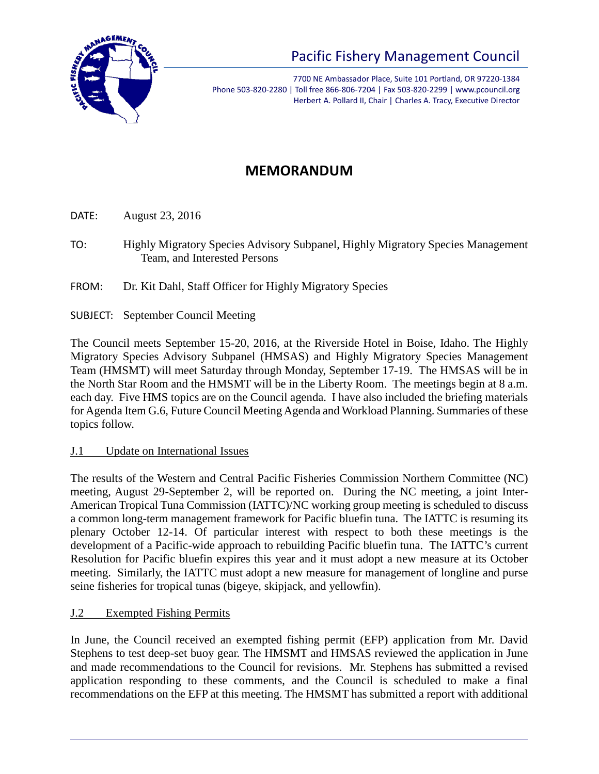

# Pacific Fishery Management Council

7700 NE Ambassador Place, Suite 101 Portland, OR 97220-1384 Phone 503-820-2280 | Toll free 866-806-7204 | Fax 503-820-2299 | www.pcouncil.org Herbert A. Pollard II, Chair | Charles A. Tracy, Executive Director

# **MEMORANDUM**

DATE: August 23, 2016

- TO: Highly Migratory Species Advisory Subpanel, Highly Migratory Species Management Team, and Interested Persons
- FROM: Dr. Kit Dahl, Staff Officer for Highly Migratory Species
- SUBJECT: September Council Meeting

The Council meets September 15-20, 2016, at the Riverside Hotel in Boise, Idaho. The Highly Migratory Species Advisory Subpanel (HMSAS) and Highly Migratory Species Management Team (HMSMT) will meet Saturday through Monday, September 17-19. The HMSAS will be in the North Star Room and the HMSMT will be in the Liberty Room. The meetings begin at 8 a.m. each day. Five HMS topics are on the Council agenda. I have also included the briefing materials for Agenda Item G.6, Future Council Meeting Agenda and Workload Planning. Summaries of these topics follow.

#### J.1 Update on International Issues

The results of the Western and Central Pacific Fisheries Commission Northern Committee (NC) meeting, August 29-September 2, will be reported on. During the NC meeting, a joint Inter-American Tropical Tuna Commission (IATTC)/NC working group meeting is scheduled to discuss a common long-term management framework for Pacific bluefin tuna. The IATTC is resuming its plenary October 12-14. Of particular interest with respect to both these meetings is the development of a Pacific-wide approach to rebuilding Pacific bluefin tuna. The IATTC's current Resolution for Pacific bluefin expires this year and it must adopt a new measure at its October meeting. Similarly, the IATTC must adopt a new measure for management of longline and purse seine fisheries for tropical tunas (bigeye, skipjack, and yellowfin).

#### J.2 Exempted Fishing Permits

In June, the Council received an exempted fishing permit (EFP) application from Mr. David Stephens to test deep-set buoy gear. The HMSMT and HMSAS reviewed the application in June and made recommendations to the Council for revisions. Mr. Stephens has submitted a revised application responding to these comments, and the Council is scheduled to make a final recommendations on the EFP at this meeting. The HMSMT has submitted a report with additional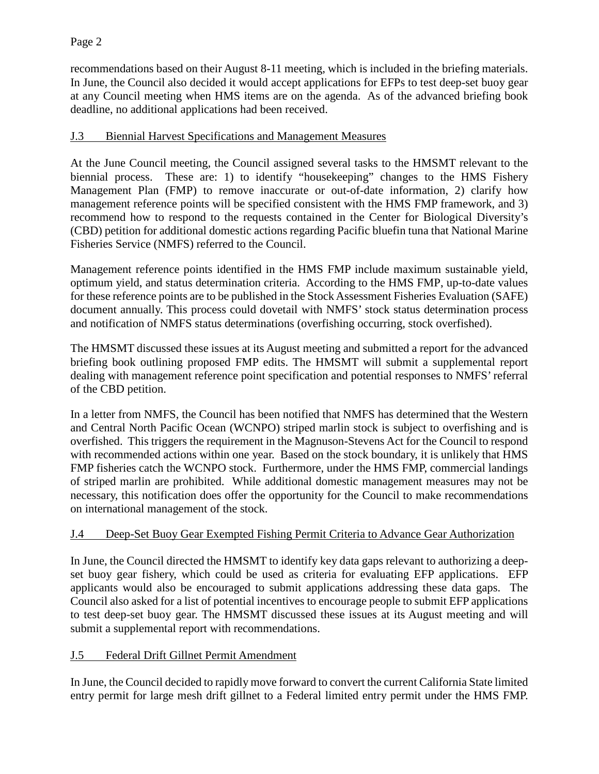recommendations based on their August 8-11 meeting, which is included in the briefing materials. In June, the Council also decided it would accept applications for EFPs to test deep-set buoy gear at any Council meeting when HMS items are on the agenda. As of the advanced briefing book deadline, no additional applications had been received.

#### J.3 Biennial Harvest Specifications and Management Measures

At the June Council meeting, the Council assigned several tasks to the HMSMT relevant to the biennial process. These are: 1) to identify "housekeeping" changes to the HMS Fishery Management Plan (FMP) to remove inaccurate or out-of-date information, 2) clarify how management reference points will be specified consistent with the HMS FMP framework, and 3) recommend how to respond to the requests contained in the Center for Biological Diversity's (CBD) petition for additional domestic actions regarding Pacific bluefin tuna that National Marine Fisheries Service (NMFS) referred to the Council.

Management reference points identified in the HMS FMP include maximum sustainable yield, optimum yield, and status determination criteria. According to the HMS FMP, up-to-date values for these reference points are to be published in the Stock Assessment Fisheries Evaluation (SAFE) document annually. This process could dovetail with NMFS' stock status determination process and notification of NMFS status determinations (overfishing occurring, stock overfished).

The HMSMT discussed these issues at its August meeting and submitted a report for the advanced briefing book outlining proposed FMP edits. The HMSMT will submit a supplemental report dealing with management reference point specification and potential responses to NMFS' referral of the CBD petition.

In a letter from NMFS, the Council has been notified that NMFS has determined that the Western and Central North Pacific Ocean (WCNPO) striped marlin stock is subject to overfishing and is overfished. This triggers the requirement in the Magnuson-Stevens Act for the Council to respond with recommended actions within one year. Based on the stock boundary, it is unlikely that HMS FMP fisheries catch the WCNPO stock. Furthermore, under the HMS FMP, commercial landings of striped marlin are prohibited. While additional domestic management measures may not be necessary, this notification does offer the opportunity for the Council to make recommendations on international management of the stock.

## J.4 Deep-Set Buoy Gear Exempted Fishing Permit Criteria to Advance Gear Authorization

In June, the Council directed the HMSMT to identify key data gaps relevant to authorizing a deepset buoy gear fishery, which could be used as criteria for evaluating EFP applications. EFP applicants would also be encouraged to submit applications addressing these data gaps. The Council also asked for a list of potential incentives to encourage people to submit EFP applications to test deep-set buoy gear. The HMSMT discussed these issues at its August meeting and will submit a supplemental report with recommendations.

#### J.5 Federal Drift Gillnet Permit Amendment

In June, the Council decided to rapidly move forward to convert the current California State limited entry permit for large mesh drift gillnet to a Federal limited entry permit under the HMS FMP.